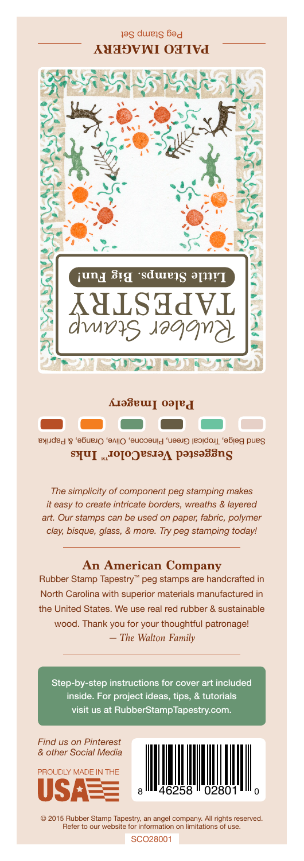## Peg Stamp Set **PALEO IMAGERY**



Sand Beige, Tropical Green, Pinecone, Olive, Orange, & Paprika Suggested VersaColor<sup>m</sup> Inks

*The simplicity of component peg stamping makes it easy to create intricate borders, wreaths & layered art. Our stamps can be used on paper, fabric, polymer clay, bisque, glass, & more. Try peg stamping today!*

## **An American Company**

*— The Walton Family* Rubber Stamp Tapestry™ peg stamps are handcrafted in North Carolina with superior materials manufactured in the United States. We use real red rubber & sustainable wood. Thank you for your thoughtful patronage!

Step-by-step instructions for cover art included inside. For project ideas, tips, & tutorials visit us at RubberStampTapestry.com.

*Find us on Pinterest & other Social Media*





© 2015 Rubber Stamp Tapestry, an angel company. All rights reserved. Refer to our website for information on limitations of use.